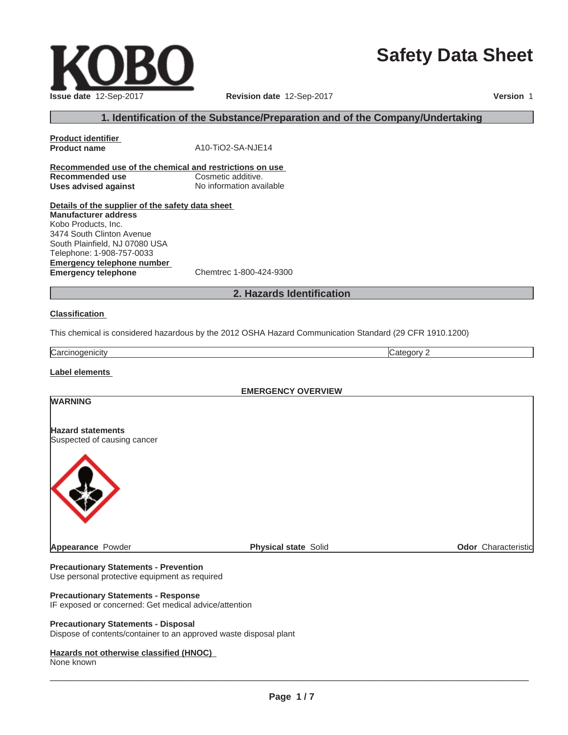# **Safety Data Sheet**

 $\_$  ,  $\_$  ,  $\_$  ,  $\_$  ,  $\_$  ,  $\_$  ,  $\_$  ,  $\_$  ,  $\_$  ,  $\_$  ,  $\_$  ,  $\_$  ,  $\_$  ,  $\_$  ,  $\_$  ,  $\_$  ,  $\_$  ,  $\_$  ,  $\_$  ,  $\_$  ,  $\_$  ,  $\_$  ,  $\_$  ,  $\_$  ,  $\_$  ,  $\_$  ,  $\_$  ,  $\_$  ,  $\_$  ,  $\_$  ,  $\_$  ,  $\_$  ,  $\_$  ,  $\_$  ,  $\_$  ,  $\_$  ,  $\_$  ,

**Product identifier**

**Product name** A10-TiO2-SA-NJE14

#### **1. Identification of the Substance/Preparation and of the Company/Undertaking**

**Recommended use of the chemical and restrictions on use Recommended use Cosmetic additive. Uses advised against** No information available

**Details of the supplier of the safety data sheet Emergency telephone number Emergency telephone** Chemtrec 1-800-424-9300 **Manufacturer address** Kobo Products, Inc. 3474 South Clinton Avenue South Plainfield, NJ 07080 USA Telephone: 1-908-757-0033

#### **2. Hazards Identification**

#### **Classification**

This chemical is considered hazardous by the 2012 OSHA Hazard Communication Standard (29 CFR 1910.1200)

**Carcinogenicity** Category 2

**WARNING**

**Label elements**

**EMERGENCY OVERVIEW**

#### **Hazard statements** Suspected of causing cancer



**Appearance** Powder **Physical state** Solid **Physical state** Solid **Physical State** Solid **Odor** Characteristic

**Precautionary Statements - Prevention** Use personal protective equipment as required

#### **Precautionary Statements - Response**

IF exposed or concerned: Get medical advice/attention

#### **Precautionary Statements - Disposal**

Dispose of contents/container to an approved waste disposal plant

#### **Hazards not otherwise classified (HNOC)**

None known

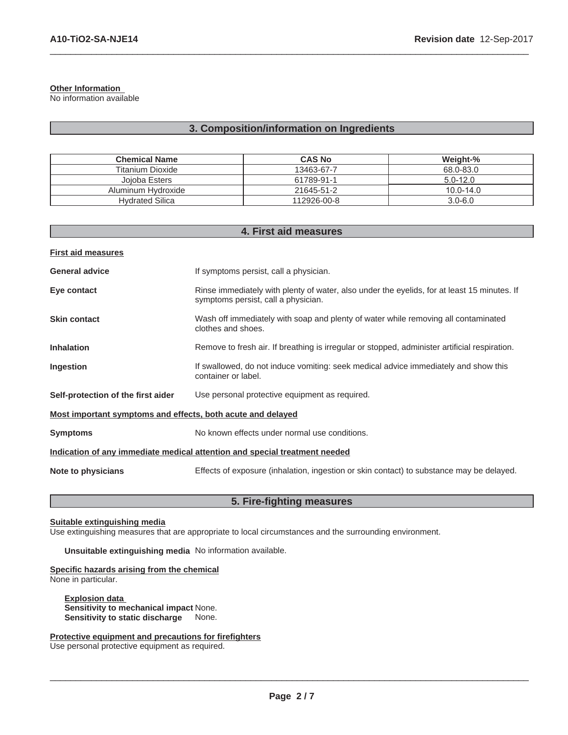#### **Other Information**

No information available

### **3. Composition/information on Ingredients**

 $\_$  ,  $\_$  ,  $\_$  ,  $\_$  ,  $\_$  ,  $\_$  ,  $\_$  ,  $\_$  ,  $\_$  ,  $\_$  ,  $\_$  ,  $\_$  ,  $\_$  ,  $\_$  ,  $\_$  ,  $\_$  ,  $\_$  ,  $\_$  ,  $\_$  ,  $\_$  ,  $\_$  ,  $\_$  ,  $\_$  ,  $\_$  ,  $\_$  ,  $\_$  ,  $\_$  ,  $\_$  ,  $\_$  ,  $\_$  ,  $\_$  ,  $\_$  ,  $\_$  ,  $\_$  ,  $\_$  ,  $\_$  ,  $\_$  ,

| <b>Chemical Name</b>   | <b>CAS No</b> | Weight-%      |
|------------------------|---------------|---------------|
| Titanium Dioxide       | 13463-67-7    | 68.0-83.0     |
| Joioba Esters          | 61789-91-1    | $5.0 - 12.0$  |
| Aluminum Hydroxide     | 21645-51-2    | $10.0 - 14.0$ |
| <b>Hydrated Silica</b> | 112926-00-8   | $3.0 - 6.0$   |

| 4. First aid measures                                                      |                                                                                                                                    |  |
|----------------------------------------------------------------------------|------------------------------------------------------------------------------------------------------------------------------------|--|
| <b>First aid measures</b>                                                  |                                                                                                                                    |  |
| <b>General advice</b>                                                      | If symptoms persist, call a physician.                                                                                             |  |
| Eye contact                                                                | Rinse immediately with plenty of water, also under the eyelids, for at least 15 minutes. If<br>symptoms persist, call a physician. |  |
| <b>Skin contact</b>                                                        | Wash off immediately with soap and plenty of water while removing all contaminated<br>clothes and shoes.                           |  |
| <b>Inhalation</b>                                                          | Remove to fresh air. If breathing is irregular or stopped, administer artificial respiration.                                      |  |
| Ingestion                                                                  | If swallowed, do not induce vomiting: seek medical advice immediately and show this<br>container or label.                         |  |
| Self-protection of the first aider                                         | Use personal protective equipment as required.                                                                                     |  |
| Most important symptoms and effects, both acute and delayed                |                                                                                                                                    |  |
| <b>Symptoms</b>                                                            | No known effects under normal use conditions.                                                                                      |  |
| Indication of any immediate medical attention and special treatment needed |                                                                                                                                    |  |
| Note to physicians                                                         | Effects of exposure (inhalation, ingestion or skin contact) to substance may be delayed.                                           |  |

### **5. Fire-fighting measures**

#### **Suitable extinguishing media**

Use extinguishing measures that are appropriate to local circumstances and the surrounding environment.

**Unsuitable extinguishing media** No information available.

**Specific hazards arising from the chemical** None in particular.

**Explosion data Sensitivity to mechanical impact None.<br>Sensitivity to static discharge** None. **Sensitivity to static discharge** 

**Protective equipment and precautions for firefighters**

Use personal protective equipment as required.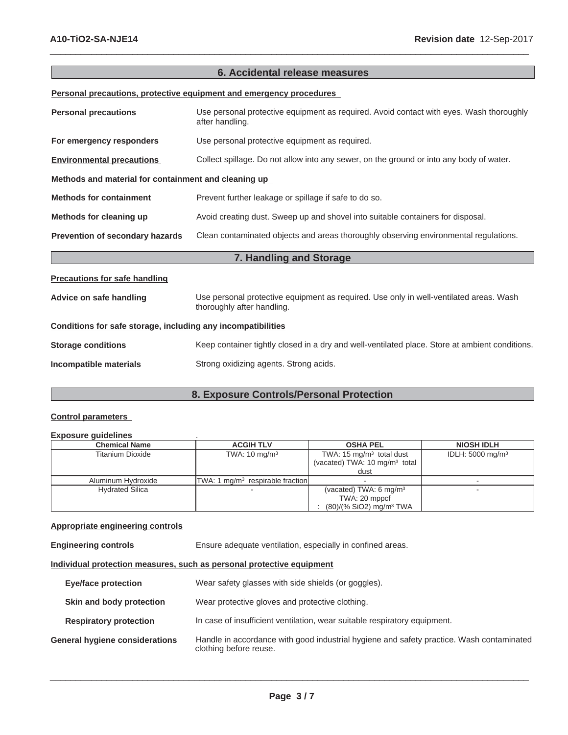| 6. Accidental release measures                               |                                                                                                                      |  |
|--------------------------------------------------------------|----------------------------------------------------------------------------------------------------------------------|--|
|                                                              | Personal precautions, protective equipment and emergency procedures                                                  |  |
| <b>Personal precautions</b>                                  | Use personal protective equipment as required. Avoid contact with eyes. Wash thoroughly<br>after handling.           |  |
| For emergency responders                                     | Use personal protective equipment as required.                                                                       |  |
| <b>Environmental precautions</b>                             | Collect spillage. Do not allow into any sewer, on the ground or into any body of water.                              |  |
| Methods and material for containment and cleaning up         |                                                                                                                      |  |
| <b>Methods for containment</b>                               | Prevent further leakage or spillage if safe to do so.                                                                |  |
| Methods for cleaning up                                      | Avoid creating dust. Sweep up and shovel into suitable containers for disposal.                                      |  |
| Prevention of secondary hazards                              | Clean contaminated objects and areas thoroughly observing environmental regulations.                                 |  |
|                                                              | 7. Handling and Storage                                                                                              |  |
| <b>Precautions for safe handling</b>                         |                                                                                                                      |  |
| Advice on safe handling                                      | Use personal protective equipment as required. Use only in well-ventilated areas. Wash<br>thoroughly after handling. |  |
| Conditions for safe storage, including any incompatibilities |                                                                                                                      |  |
| <b>Storage conditions</b>                                    | Keep container tightly closed in a dry and well-ventilated place. Store at ambient conditions.                       |  |
| Incompatible materials                                       | Strong oxidizing agents. Strong acids.                                                                               |  |

 $\_$  ,  $\_$  ,  $\_$  ,  $\_$  ,  $\_$  ,  $\_$  ,  $\_$  ,  $\_$  ,  $\_$  ,  $\_$  ,  $\_$  ,  $\_$  ,  $\_$  ,  $\_$  ,  $\_$  ,  $\_$  ,  $\_$  ,  $\_$  ,  $\_$  ,  $\_$  ,  $\_$  ,  $\_$  ,  $\_$  ,  $\_$  ,  $\_$  ,  $\_$  ,  $\_$  ,  $\_$  ,  $\_$  ,  $\_$  ,  $\_$  ,  $\_$  ,  $\_$  ,  $\_$  ,  $\_$  ,  $\_$  ,  $\_$  ,

### **8. Exposure Controls/Personal Protection**

#### **Control parameters**

#### **Exposure guidelines** .

| <b>Chemical Name</b>    | <b>ACGIH TLV</b>                   | <b>OSHA PEL</b>                          | <b>NIOSH IDLH</b>           |
|-------------------------|------------------------------------|------------------------------------------|-----------------------------|
| <b>Titanium Dioxide</b> | TWA: $10 \text{ mg/m}^3$           | TWA: $15 \text{ mg/m}^3$ total dust      | IDLH: $5000 \text{ mg/m}^3$ |
|                         |                                    | (vacated) TWA: $10 \text{ mg/m}^3$ total |                             |
|                         |                                    | dust                                     |                             |
| Aluminum Hydroxide      | TWA: 1 $mq/m3$ respirable fraction |                                          |                             |
| <b>Hydrated Silica</b>  |                                    | (vacated) TWA: $6 \text{ mg/m}^3$        |                             |
|                         |                                    | TWA: 20 mppcf                            |                             |
|                         |                                    | $(80)/(% SiO2)$ mg/m <sup>3</sup> TWA    |                             |

#### **Appropriate engineering controls**

**Engineering controls** Ensure adequate ventilation, especially in confined areas.

**Individual protection measures, such as personal protective equipment**

| Eye/face protection            | Wear safety glasses with side shields (or goggles).                                                                |
|--------------------------------|--------------------------------------------------------------------------------------------------------------------|
| Skin and body protection       | Wear protective gloves and protective clothing.                                                                    |
| <b>Respiratory protection</b>  | In case of insufficient ventilation, wear suitable respiratory equipment.                                          |
| General hygiene considerations | Handle in accordance with good industrial hygiene and safety practice. Wash contaminated<br>clothing before reuse. |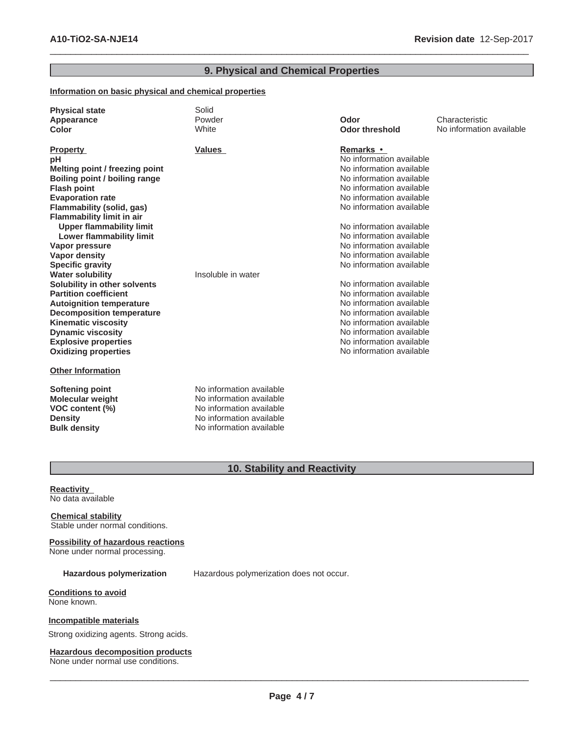### **9. Physical and Chemical Properties**

 $\_$  ,  $\_$  ,  $\_$  ,  $\_$  ,  $\_$  ,  $\_$  ,  $\_$  ,  $\_$  ,  $\_$  ,  $\_$  ,  $\_$  ,  $\_$  ,  $\_$  ,  $\_$  ,  $\_$  ,  $\_$  ,  $\_$  ,  $\_$  ,  $\_$  ,  $\_$  ,  $\_$  ,  $\_$  ,  $\_$  ,  $\_$  ,  $\_$  ,  $\_$  ,  $\_$  ,  $\_$  ,  $\_$  ,  $\_$  ,  $\_$  ,  $\_$  ,  $\_$  ,  $\_$  ,  $\_$  ,  $\_$  ,  $\_$  ,

#### **Information on basic physical and chemical properties**

| <b>Physical state</b><br>Appearance<br>Color                                                                                                                                                                                                                                                                                                                                                                                                                                                                                                                                                                                                                                | Solid<br>Powder<br>White                                                                                     | Odor<br><b>Odor threshold</b>                                                                                                                                                                                                                                                                                                                                                                                                                                                                                                                                 | Characteristic<br>No information available |
|-----------------------------------------------------------------------------------------------------------------------------------------------------------------------------------------------------------------------------------------------------------------------------------------------------------------------------------------------------------------------------------------------------------------------------------------------------------------------------------------------------------------------------------------------------------------------------------------------------------------------------------------------------------------------------|--------------------------------------------------------------------------------------------------------------|---------------------------------------------------------------------------------------------------------------------------------------------------------------------------------------------------------------------------------------------------------------------------------------------------------------------------------------------------------------------------------------------------------------------------------------------------------------------------------------------------------------------------------------------------------------|--------------------------------------------|
| <b>Property</b><br>рH<br>Melting point / freezing point<br>Boiling point / boiling range<br><b>Flash point</b><br><b>Evaporation rate</b><br>Flammability (solid, gas)<br><b>Flammability limit in air</b><br><b>Upper flammability limit</b><br><b>Lower flammability limit</b><br>Vapor pressure<br><b>Vapor density</b><br><b>Specific gravity</b><br><b>Water solubility</b><br>Solubility in other solvents<br><b>Partition coefficient</b><br><b>Autoignition temperature</b><br><b>Decomposition temperature</b><br><b>Kinematic viscosity</b><br><b>Dynamic viscosity</b><br><b>Explosive properties</b><br><b>Oxidizing properties</b><br><b>Other Information</b> | <b>Values</b><br>Insoluble in water                                                                          | Remarks •<br>No information available<br>No information available<br>No information available<br>No information available<br>No information available<br>No information available<br>No information available<br>No information available<br>No information available<br>No information available<br>No information available<br>No information available<br>No information available<br>No information available<br>No information available<br>No information available<br>No information available<br>No information available<br>No information available |                                            |
| <b>Softening point</b><br><b>Molecular weight</b><br>VOC content (%)<br><b>Density</b>                                                                                                                                                                                                                                                                                                                                                                                                                                                                                                                                                                                      | No information available<br>No information available<br>No information available<br>No information available |                                                                                                                                                                                                                                                                                                                                                                                                                                                                                                                                                               |                                            |

### **10. Stability and Reactivity**

**Reactivity** No data available

**Chemical stability** Stable under normal conditions.

## **Possibility of hazardous reactions**

**Bulk density** No information available

None under normal processing.

**Hazardous polymerization** Hazardous polymerization does not occur.

**Conditions to avoid** None known.

#### **Incompatible materials**

Strong oxidizing agents. Strong acids.

#### **Hazardous decomposition products**

None under normal use conditions.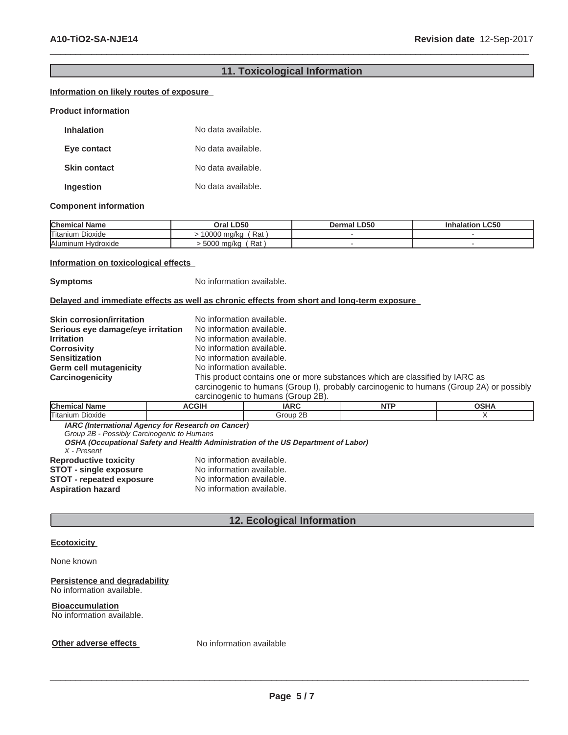### **11. Toxicological Information**

 $\_$  ,  $\_$  ,  $\_$  ,  $\_$  ,  $\_$  ,  $\_$  ,  $\_$  ,  $\_$  ,  $\_$  ,  $\_$  ,  $\_$  ,  $\_$  ,  $\_$  ,  $\_$  ,  $\_$  ,  $\_$  ,  $\_$  ,  $\_$  ,  $\_$  ,  $\_$  ,  $\_$  ,  $\_$  ,  $\_$  ,  $\_$  ,  $\_$  ,  $\_$  ,  $\_$  ,  $\_$  ,  $\_$  ,  $\_$  ,  $\_$  ,  $\_$  ,  $\_$  ,  $\_$  ,  $\_$  ,  $\_$  ,  $\_$  ,

#### **Information on likely routes of exposure**

#### **Product information**

| <b>Inhalation</b>   | No data available. |
|---------------------|--------------------|
| Eye contact         | No data available. |
| <b>Skin contact</b> | No data available. |
| Ingestion           | No data available. |

#### **Component information**

| <b>Chemical Name</b>    | <b>LD50</b><br>Oral '           | <b>LD50</b><br>Dermal | <b>LC50</b> |
|-------------------------|---------------------------------|-----------------------|-------------|
| Titanium<br>Dioxide     | 10000 ma/ka<br>Rat              |                       |             |
| Aluminum H<br>Hvdroxide | Rat<br>5000<br>∖ ma∕ka<br>่งบบบ |                       |             |

#### **Information on toxicological effects**

**Symptoms** No information available.

#### **Delayed and immediate effects as well as chronic effects from short and long-term exposure**

| <b>Skin corrosion/irritation</b>  | No information available.                                                                |
|-----------------------------------|------------------------------------------------------------------------------------------|
| Serious eye damage/eye irritation | No information available.                                                                |
| <b>Irritation</b>                 | No information available.                                                                |
| <b>Corrosivity</b>                | No information available.                                                                |
| <b>Sensitization</b>              | No information available.                                                                |
| <b>Germ cell mutagenicity</b>     | No information available.                                                                |
| Carcinogenicity                   | This product contains one or more substances which are classified by IARC as             |
|                                   | carcinogenic to humans (Group I), probably carcinogenic to humans (Group 2A) or possibly |
|                                   | carcinograpic to bumane (Group 2R)                                                       |

| carcinoc<br>нешс<br>numans<br>$\sim$ ופ∠ בו $\sim$ |             |                    |      |                     |
|----------------------------------------------------|-------------|--------------------|------|---------------------|
| <b>Chen</b><br>Name                                | <b>CGIH</b> | <b>IADC</b><br>ını | NIT! | $\sim$ CLIA<br>זוטי |
| ⊢.<br>'I Itaniun<br>Dioxide                        |             | 2B<br>Group        |      |                     |
| .<br>___<br>__<br>__<br>$\sim$                     |             |                    |      |                     |

**IARC (International Agency for Research on Cancer)**

*Group 2B - Possibly Carcinogenic to Humans*

**OSHA (Occupational Safety and Health Administration of the US Department of Labor)** *X - Present*

| <b>Reproductive toxicity</b>    | No information available. |
|---------------------------------|---------------------------|
| <b>STOT - single exposure</b>   | No information available. |
| <b>STOT - repeated exposure</b> | No information available. |
| <b>Aspiration hazard</b>        | No information available. |

#### **12. Ecological Information**

#### **Ecotoxicity**

#### None known

#### **Persistence and degradability** No information available.

### **Bioaccumulation**

No information available.

#### **Other adverse effects** No information available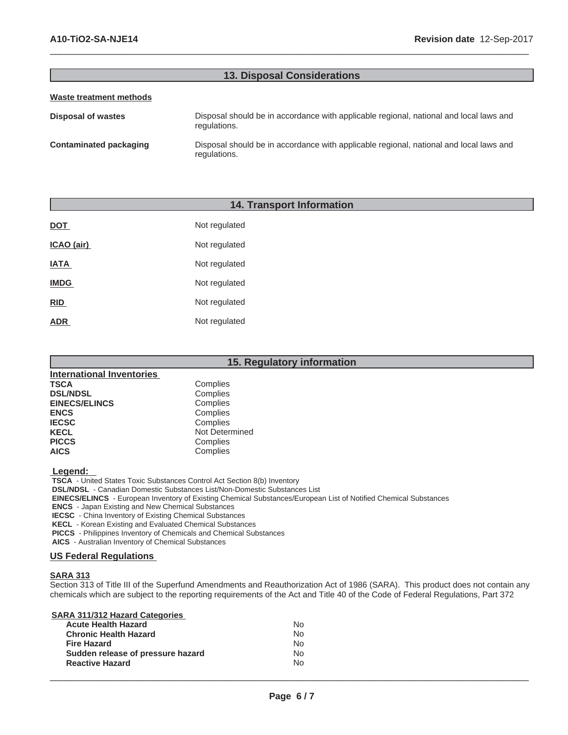#### **13. Disposal Considerations**

 $\_$  ,  $\_$  ,  $\_$  ,  $\_$  ,  $\_$  ,  $\_$  ,  $\_$  ,  $\_$  ,  $\_$  ,  $\_$  ,  $\_$  ,  $\_$  ,  $\_$  ,  $\_$  ,  $\_$  ,  $\_$  ,  $\_$  ,  $\_$  ,  $\_$  ,  $\_$  ,  $\_$  ,  $\_$  ,  $\_$  ,  $\_$  ,  $\_$  ,  $\_$  ,  $\_$  ,  $\_$  ,  $\_$  ,  $\_$  ,  $\_$  ,  $\_$  ,  $\_$  ,  $\_$  ,  $\_$  ,  $\_$  ,  $\_$  ,

#### **Waste treatment methods**

| Disposal of wastes     | Disposal should be in accordance with applicable regional, national and local laws and<br>regulations. |
|------------------------|--------------------------------------------------------------------------------------------------------|
| Contaminated packaging | Disposal should be in accordance with applicable regional, national and local laws and<br>regulations. |

#### **14. Transport Information**

| DOT         | Not regulated |
|-------------|---------------|
| ICAO (air)  | Not regulated |
| <b>IATA</b> | Not regulated |
| <b>IMDG</b> | Not regulated |
| <b>RID</b>  | Not regulated |
| ADR         | Not regulated |

| 15. Regulatory information       |                |  |
|----------------------------------|----------------|--|
| <b>International Inventories</b> |                |  |
| TSCA                             | Complies       |  |
| <b>DSL/NDSL</b>                  | Complies       |  |
| <b>EINECS/ELINCS</b>             | Complies       |  |
| <b>ENCS</b>                      | Complies       |  |
| <b>IECSC</b>                     | Complies       |  |
| <b>KECL</b>                      | Not Determined |  |
| <b>PICCS</b>                     | Complies       |  |
| <b>AICS</b>                      | Complies       |  |
|                                  |                |  |

#### **Legend:**

 **TSCA** - United States Toxic Substances Control Act Section 8(b) Inventory

 **DSL/NDSL** - Canadian Domestic Substances List/Non-Domestic Substances List

 **EINECS/ELINCS** - European Inventory of Existing Chemical Substances/European List of Notified Chemical Substances

 **ENCS** - Japan Existing and New Chemical Substances

 **IECSC** - China Inventory of Existing Chemical Substances

 **KECL** - Korean Existing and Evaluated Chemical Substances

 **PICCS** - Philippines Inventory of Chemicals and Chemical Substances

 **AICS** - Australian Inventory of Chemical Substances

#### **US Federal Regulations**

#### **SARA 313**

Section 313 of Title III of the Superfund Amendments and Reauthorization Act of 1986 (SARA). This product does not contain any chemicals which are subject to the reporting requirements of the Act and Title 40 of the Code of Federal Regulations, Part 372

**SARA 311/312 Hazard Categories**

| <b>Acute Health Hazard</b>        | No. |
|-----------------------------------|-----|
| <b>Chronic Health Hazard</b>      | No. |
| <b>Fire Hazard</b>                | No. |
| Sudden release of pressure hazard | No. |
| <b>Reactive Hazard</b>            | No. |
|                                   |     |